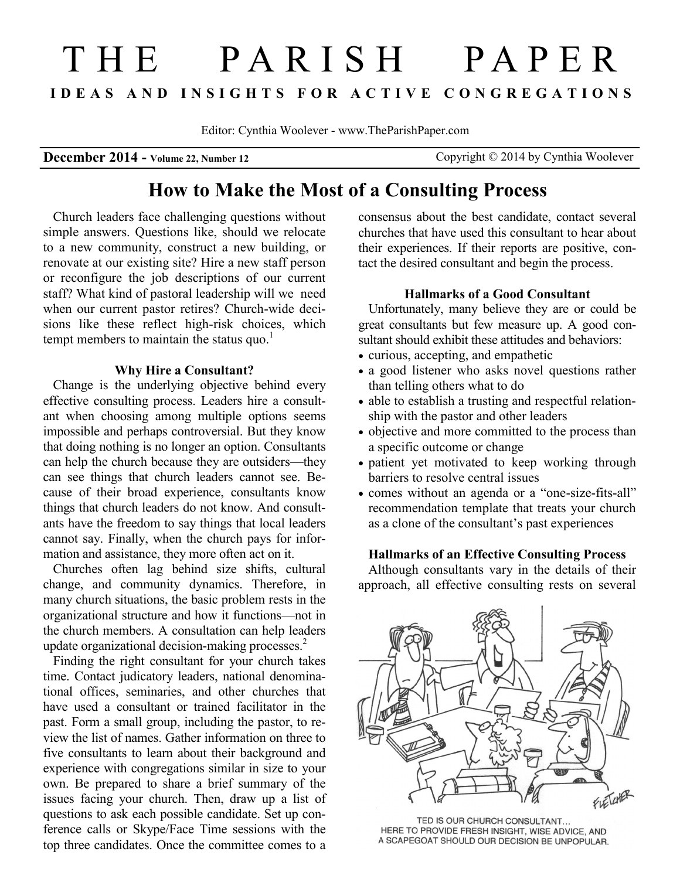# THE PARISH PAPER **I D E A S A N D I N S I G H T S F O R A C T I V E C O N G R E G A T I O N S**

Editor: Cynthia Woolever - www.TheParishPaper.com

**December 2014 - Volume 22, Number 12** Copyright © 2014 by Cynthia Woolever

## **How to Make the Most of a Consulting Process**

Church leaders face challenging questions without simple answers. Questions like, should we relocate to a new community, construct a new building, or renovate at our existing site? Hire a new staff person or reconfigure the job descriptions of our current staff? What kind of pastoral leadership will we need when our current pastor retires? Church-wide decisions like these reflect high-risk choices, which tempt members to maintain the status quo.<sup>1</sup>

#### **Why Hire a Consultant?**

Change is the underlying objective behind every effective consulting process. Leaders hire a consultant when choosing among multiple options seems impossible and perhaps controversial. But they know that doing nothing is no longer an option. Consultants can help the church because they are outsiders—they can see things that church leaders cannot see. Because of their broad experience, consultants know things that church leaders do not know. And consultants have the freedom to say things that local leaders cannot say. Finally, when the church pays for information and assistance, they more often act on it.

Churches often lag behind size shifts, cultural change, and community dynamics. Therefore, in many church situations, the basic problem rests in the organizational structure and how it functions—not in the church members. A consultation can help leaders update organizational decision-making processes.<sup>2</sup>

Finding the right consultant for your church takes time. Contact judicatory leaders, national denominational offices, seminaries, and other churches that have used a consultant or trained facilitator in the past. Form a small group, including the pastor, to review the list of names. Gather information on three to five consultants to learn about their background and experience with congregations similar in size to your own. Be prepared to share a brief summary of the issues facing your church. Then, draw up a list of questions to ask each possible candidate. Set up conference calls or Skype/Face Time sessions with the top three candidates. Once the committee comes to a

consensus about the best candidate, contact several churches that have used this consultant to hear about their experiences. If their reports are positive, contact the desired consultant and begin the process.

#### **Hallmarks of a Good Consultant**

Unfortunately, many believe they are or could be great consultants but few measure up. A good consultant should exhibit these attitudes and behaviors:

- curious, accepting, and empathetic
- a good listener who asks novel questions rather than telling others what to do
- able to establish a trusting and respectful relationship with the pastor and other leaders
- objective and more committed to the process than a specific outcome or change
- patient yet motivated to keep working through barriers to resolve central issues
- comes without an agenda or a "one-size-fits-all" recommendation template that treats your church as a clone of the consultant's past experiences

#### **Hallmarks of an Effective Consulting Process**

Although consultants vary in the details of their approach, all effective consulting rests on several



TED IS OUR CHURCH CONSULTANT... HERE TO PROVIDE FRESH INSIGHT, WISE ADVICE, AND A SCAPEGOAT SHOULD OUR DECISION BE UNPOPULAR.